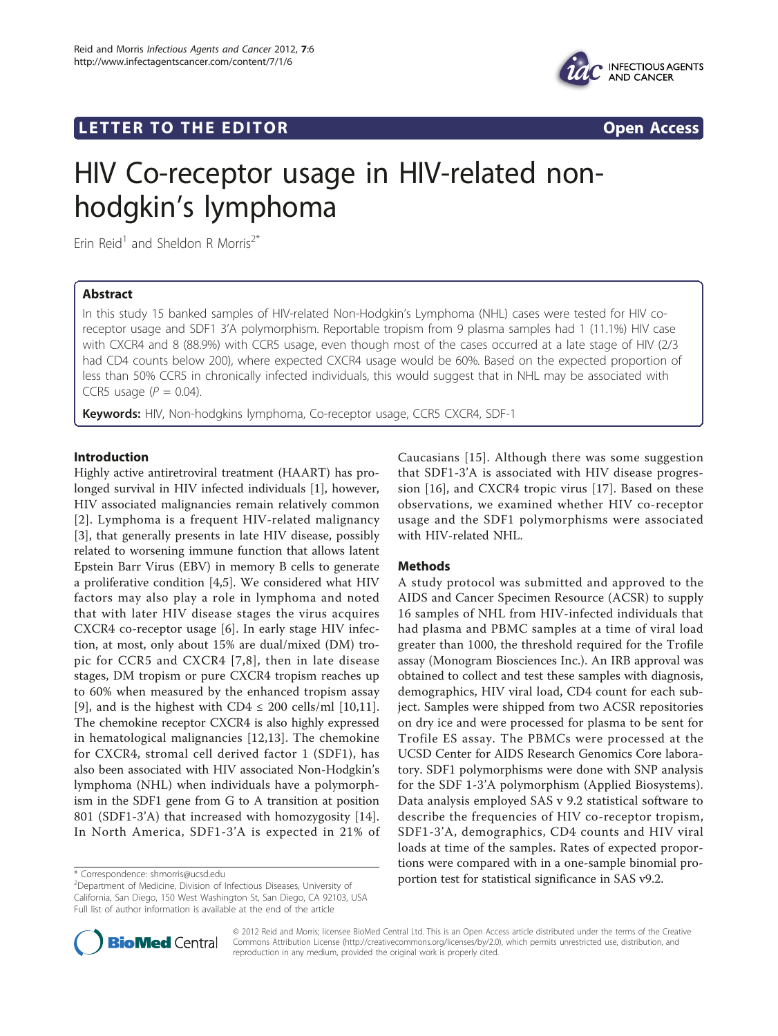

## **LETTER TO THE EDITOR CONSIDERING ACCESS**



# HIV Co-receptor usage in HIV-related nonhodgkin's lymphoma

Erin Reid<sup>1</sup> and Sheldon R Morris<sup>2\*</sup>

## Abstract

In this study 15 banked samples of HIV-related Non-Hodgkin's Lymphoma (NHL) cases were tested for HIV coreceptor usage and SDF1 3'A polymorphism. Reportable tropism from 9 plasma samples had 1 (11.1%) HIV case with CXCR4 and 8 (88.9%) with CCR5 usage, even though most of the cases occurred at a late stage of HIV (2/3 had CD4 counts below 200), where expected CXCR4 usage would be 60%. Based on the expected proportion of less than 50% CCR5 in chronically infected individuals, this would suggest that in NHL may be associated with CCR5 usage ( $P = 0.04$ ).

**Keywords:** HIV, Non-hodgkins lymphoma, Co-receptor usage, CCR5 CXCR4, SDF-1

## Introduction

Highly active antiretroviral treatment (HAART) has prolonged survival in HIV infected individuals [[1](#page-1-0)], however, HIV associated malignancies remain relatively common [[2](#page-1-0)]. Lymphoma is a frequent HIV-related malignancy [[3\]](#page-1-0), that generally presents in late HIV disease, possibly related to worsening immune function that allows latent Epstein Barr Virus (EBV) in memory B cells to generate a proliferative condition [\[4,5](#page-1-0)]. We considered what HIV factors may also play a role in lymphoma and noted that with later HIV disease stages the virus acquires CXCR4 co-receptor usage [\[6](#page-1-0)]. In early stage HIV infection, at most, only about 15% are dual/mixed (DM) tropic for CCR5 and CXCR4 [[7,8\]](#page-1-0), then in late disease stages, DM tropism or pure CXCR4 tropism reaches up to 60% when measured by the enhanced tropism assay [[9\]](#page-2-0), and is the highest with  $CD4 \leq 200$  cells/ml [[10,11](#page-2-0)]. The chemokine receptor CXCR4 is also highly expressed in hematological malignancies [[12,13](#page-2-0)]. The chemokine for CXCR4, stromal cell derived factor 1 (SDF1), has also been associated with HIV associated Non-Hodgkin's lymphoma (NHL) when individuals have a polymorphism in the SDF1 gene from G to A transition at position 801 (SDF1-3'A) that increased with homozygosity [[14](#page-2-0)]. In North America, SDF1-3'A is expected in 21% of

Caucasians [[15](#page-2-0)]. Although there was some suggestion that SDF1-3'A is associated with HIV disease progression [[16\]](#page-2-0), and CXCR4 tropic virus [\[17\]](#page-2-0). Based on these observations, we examined whether HIV co-receptor usage and the SDF1 polymorphisms were associated with HIV-related NHL.

## Methods

A study protocol was submitted and approved to the AIDS and Cancer Specimen Resource (ACSR) to supply 16 samples of NHL from HIV-infected individuals that had plasma and PBMC samples at a time of viral load greater than 1000, the threshold required for the Trofile assay (Monogram Biosciences Inc.). An IRB approval was obtained to collect and test these samples with diagnosis, demographics, HIV viral load, CD4 count for each subject. Samples were shipped from two ACSR repositories on dry ice and were processed for plasma to be sent for Trofile ES assay. The PBMCs were processed at the UCSD Center for AIDS Research Genomics Core laboratory. SDF1 polymorphisms were done with SNP analysis for the SDF 1-3'A polymorphism (Applied Biosystems). Data analysis employed SAS v 9.2 statistical software to describe the frequencies of HIV co-receptor tropism, SDF1-3'A, demographics, CD4 counts and HIV viral loads at time of the samples. Rates of expected proportions were compared with in a one-sample binomial pro\* Correspondence: [shmorris@ucsd.edu](mailto:shmorris@ucsd.edu)<br> **Portion test for statistical significance in SAS v9.2.** 



© 2012 Reid and Morris; licensee BioMed Central Ltd. This is an Open Access article distributed under the terms of the Creative Commons Attribution License [\(http://creativecommons.org/licenses/by/2.0](http://creativecommons.org/licenses/by/2.0)), which permits unrestricted use, distribution, and reproduction in any medium, provided the original work is properly cited.

<sup>&</sup>lt;sup>2</sup> Department of Medicine, Division of Infectious Diseases, University of California, San Diego, 150 West Washington St, San Diego, CA 92103, USA Full list of author information is available at the end of the article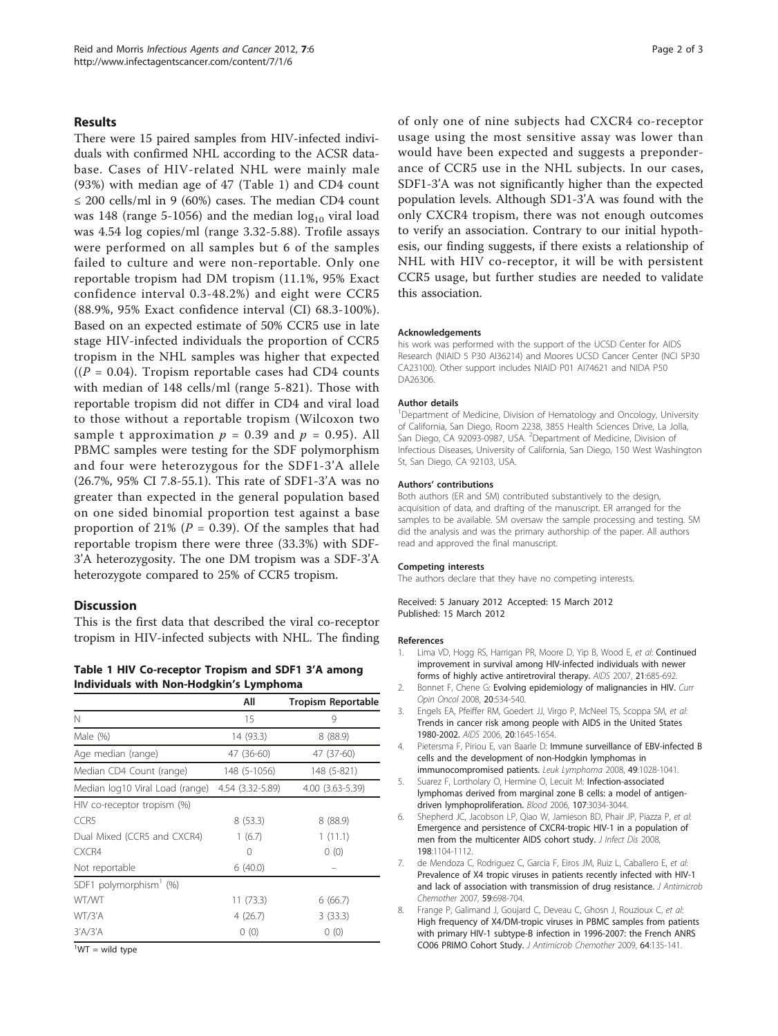### <span id="page-1-0"></span>Results

There were 15 paired samples from HIV-infected individuals with confirmed NHL according to the ACSR database. Cases of HIV-related NHL were mainly male (93%) with median age of 47 (Table 1) and CD4 count ≤ 200 cells/ml in 9 (60%) cases. The median CD4 count was 148 (range 5-1056) and the median  $log_{10}$  viral load was 4.54 log copies/ml (range 3.32-5.88). Trofile assays were performed on all samples but 6 of the samples failed to culture and were non-reportable. Only one reportable tropism had DM tropism (11.1%, 95% Exact confidence interval 0.3-48.2%) and eight were CCR5 (88.9%, 95% Exact confidence interval (CI) 68.3-100%). Based on an expected estimate of 50% CCR5 use in late stage HIV-infected individuals the proportion of CCR5 tropism in the NHL samples was higher that expected  $((P = 0.04)$ . Tropism reportable cases had CD4 counts with median of 148 cells/ml (range 5-821). Those with reportable tropism did not differ in CD4 and viral load to those without a reportable tropism (Wilcoxon two sample t approximation  $p = 0.39$  and  $p = 0.95$ ). All PBMC samples were testing for the SDF polymorphism and four were heterozygous for the SDF1-3'A allele (26.7%, 95% CI 7.8-55.1). This rate of SDF1-3'A was no greater than expected in the general population based on one sided binomial proportion test against a base proportion of 21% ( $P = 0.39$ ). Of the samples that had reportable tropism there were three (33.3%) with SDF-3'A heterozygosity. The one DM tropism was a SDF-3'A heterozygote compared to 25% of CCR5 tropism.

#### **Discussion**

This is the first data that described the viral co-receptor tropism in HIV-infected subjects with NHL. The finding

Table 1 HIV Co-receptor Tropism and SDF1 3'A among Individuals with Non-Hodgkin's Lymphoma

|                                                  | All          | <b>Tropism Reportable</b> |
|--------------------------------------------------|--------------|---------------------------|
| N                                                | 15           | 9                         |
| Male (%)                                         | 14 (93.3)    | 8(88.9)                   |
| Age median (range)                               | 47 (36-60)   | 47 (37-60)                |
| Median CD4 Count (range)                         | 148 (5-1056) | 148 (5-821)               |
| Median log10 Viral Load (range) 4.54 (3.32-5.89) |              | 4.00 (3.63-5.39)          |
| HIV co-receptor tropism (%)                      |              |                           |
| CCR5                                             | 8(53.3)      | 8(88.9)                   |
| Dual Mixed (CCR5 and CXCR4)                      | 1(6.7)       | 1(11.1)                   |
| CXCR4                                            | 0            | 0(0)                      |
| Not reportable                                   | 6(40.0)      |                           |
| SDF1 polymorphism $(%)$                          |              |                           |
| WT/WT                                            | 11 (73.3)    | 6(66.7)                   |
| WT/3'A                                           | 4(26.7)      | 3(33.3)                   |
| $3'$ A $/3'$ A                                   | 0(0)         | 0(0)                      |
| $\frac{1}{2}$                                    |              |                           |

 $1$ <sup>1</sup>WT = wild type

of only one of nine subjects had CXCR4 co-receptor usage using the most sensitive assay was lower than would have been expected and suggests a preponderance of CCR5 use in the NHL subjects. In our cases, SDF1-3'A was not significantly higher than the expected population levels. Although SD1-3'A was found with the only CXCR4 tropism, there was not enough outcomes to verify an association. Contrary to our initial hypothesis, our finding suggests, if there exists a relationship of NHL with HIV co-receptor, it will be with persistent CCR5 usage, but further studies are needed to validate this association.

#### Acknowledgements

his work was performed with the support of the UCSD Center for AIDS Research (NIAID 5 P30 AI36214) and Moores UCSD Cancer Center (NCI 5P30 CA23100). Other support includes NIAID P01 AI74621 and NIDA P50 DA26306.

#### Author details

<sup>1</sup>Department of Medicine, Division of Hematology and Oncology, University of California, San Diego, Room 2238, 3855 Health Sciences Drive, La Jolla, San Diego, CA 92093-0987, USA. <sup>2</sup>Department of Medicine, Division of Infectious Diseases, University of California, San Diego, 150 West Washington St, San Diego, CA 92103, USA.

#### Authors' contributions

Both authors (ER and SM) contributed substantively to the design, acquisition of data, and drafting of the manuscript. ER arranged for the samples to be available. SM oversaw the sample processing and testing. SM did the analysis and was the primary authorship of the paper. All authors read and approved the final manuscript.

#### Competing interests

The authors declare that they have no competing interests.

Received: 5 January 2012 Accepted: 15 March 2012 Published: 15 March 2012

#### References

- 1. Lima VD, Hogg RS, Harrigan PR, Moore D, Yip B, Wood E, et al: [Continued](http://www.ncbi.nlm.nih.gov/pubmed/17413689?dopt=Abstract) [improvement in survival among HIV-infected individuals with newer](http://www.ncbi.nlm.nih.gov/pubmed/17413689?dopt=Abstract) [forms of highly active antiretroviral therapy.](http://www.ncbi.nlm.nih.gov/pubmed/17413689?dopt=Abstract) AIDS 2007, 21:685-692.
- 2. Bonnet F, Chene G: [Evolving epidemiology of malignancies in HIV.](http://www.ncbi.nlm.nih.gov/pubmed/19106656?dopt=Abstract) Curr Opin Oncol 2008, 20:534-540.
- 3. Engels EA, Pfeiffer RM, Goedert JJ, Virgo P, McNeel TS, Scoppa SM, et al: [Trends in cancer risk among people with AIDS in the United States](http://www.ncbi.nlm.nih.gov/pubmed/16868446?dopt=Abstract) [1980-2002.](http://www.ncbi.nlm.nih.gov/pubmed/16868446?dopt=Abstract) AIDS 2006, 20:1645-1654.
- 4. Pietersma F, Piriou E, van Baarle D: [Immune surveillance of EBV-infected B](http://www.ncbi.nlm.nih.gov/pubmed/18452077?dopt=Abstract) [cells and the development of non-Hodgkin lymphomas in](http://www.ncbi.nlm.nih.gov/pubmed/18452077?dopt=Abstract) [immunocompromised patients.](http://www.ncbi.nlm.nih.gov/pubmed/18452077?dopt=Abstract) Leuk Lymphoma 2008, 49:1028-1041.
- Suarez F, Lortholary O, Hermine O, Lecuit M: [Infection-associated](http://www.ncbi.nlm.nih.gov/pubmed/16397126?dopt=Abstract) [lymphomas derived from marginal zone B cells: a model of antigen](http://www.ncbi.nlm.nih.gov/pubmed/16397126?dopt=Abstract)[driven lymphoproliferation.](http://www.ncbi.nlm.nih.gov/pubmed/16397126?dopt=Abstract) Blood 2006, 107:3034-3044.
- 6. Shepherd JC, Jacobson LP, Qiao W, Jamieson BD, Phair JP, Piazza P, et al: [Emergence and persistence of CXCR4-tropic HIV-1 in a population of](http://www.ncbi.nlm.nih.gov/pubmed/18783316?dopt=Abstract) [men from the multicenter AIDS cohort study.](http://www.ncbi.nlm.nih.gov/pubmed/18783316?dopt=Abstract) J Infect Dis 2008, 198:1104-1112.
- 7. de Mendoza C, Rodriguez C, Garcia F, Eiros JM, Ruiz L, Caballero E, et al: [Prevalence of X4 tropic viruses in patients recently infected with HIV-1](http://www.ncbi.nlm.nih.gov/pubmed/17327295?dopt=Abstract) [and lack of association with transmission of drug resistance.](http://www.ncbi.nlm.nih.gov/pubmed/17327295?dopt=Abstract) J Antimicrob Chemother 2007, 59:698-704.
- 8. Frange P, Galimand J, Goujard C, Deveau C, Ghosn J, Rouzioux C, et al: [High frequency of X4/DM-tropic viruses in PBMC samples from patients](http://www.ncbi.nlm.nih.gov/pubmed/19411680?dopt=Abstract) [with primary HIV-1 subtype-B infection in 1996-2007: the French ANRS](http://www.ncbi.nlm.nih.gov/pubmed/19411680?dopt=Abstract) [CO06 PRIMO Cohort Study.](http://www.ncbi.nlm.nih.gov/pubmed/19411680?dopt=Abstract) J Antimicrob Chemother 2009, 64:135-141.